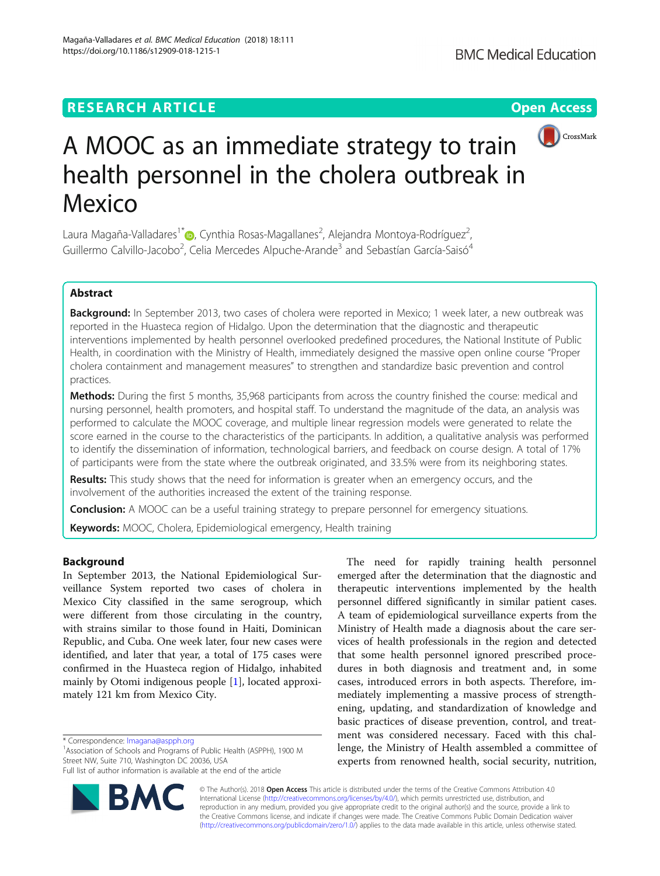## **RESEARCH ARTICLE Example 2014 12:30 The Contract of Contract ACCESS**

# A MOOC as an immediate strategy to train health personnel in the cholera outbreak in Mexico

Laura Magaña-Valladares<sup>1\*</sup>®, Cynthia Rosas-Magallanes<sup>2</sup>, Alejandra Montoya-Rodríguez<sup>2</sup> , Guillermo Calvillo-Jacobo<sup>2</sup>, Celia Mercedes Alpuche-Arande<sup>3</sup> and Sebastían García-Saisó<sup>4</sup>

## Abstract

Background: In September 2013, two cases of cholera were reported in Mexico; 1 week later, a new outbreak was reported in the Huasteca region of Hidalgo. Upon the determination that the diagnostic and therapeutic interventions implemented by health personnel overlooked predefined procedures, the National Institute of Public Health, in coordination with the Ministry of Health, immediately designed the massive open online course "Proper cholera containment and management measures" to strengthen and standardize basic prevention and control practices.

**Methods:** During the first 5 months, 35,968 participants from across the country finished the course: medical and nursing personnel, health promoters, and hospital staff. To understand the magnitude of the data, an analysis was performed to calculate the MOOC coverage, and multiple linear regression models were generated to relate the score earned in the course to the characteristics of the participants. In addition, a qualitative analysis was performed to identify the dissemination of information, technological barriers, and feedback on course design. A total of 17% of participants were from the state where the outbreak originated, and 33.5% were from its neighboring states.

Results: This study shows that the need for information is greater when an emergency occurs, and the involvement of the authorities increased the extent of the training response.

**Conclusion:** A MOOC can be a useful training strategy to prepare personnel for emergency situations.

Keywords: MOOC, Cholera, Epidemiological emergency, Health training

## Background

In September 2013, the National Epidemiological Surveillance System reported two cases of cholera in Mexico City classified in the same serogroup, which were different from those circulating in the country, with strains similar to those found in Haiti, Dominican Republic, and Cuba. One week later, four new cases were identified, and later that year, a total of 175 cases were confirmed in the Huasteca region of Hidalgo, inhabited mainly by Otomi indigenous people [\[1](#page-6-0)], located approximately 121 km from Mexico City.

\* Correspondence: [lmagana@aspph.org](mailto:lmagana@aspph.org) <sup>1</sup>

<sup>1</sup> Association of Schools and Programs of Public Health (ASPPH), 1900 M Street NW, Suite 710, Washington DC 20036, USA

Full list of author information is available at the end of the article



The need for rapidly training health personnel emerged after the determination that the diagnostic and therapeutic interventions implemented by the health personnel differed significantly in similar patient cases. A team of epidemiological surveillance experts from the Ministry of Health made a diagnosis about the care services of health professionals in the region and detected that some health personnel ignored prescribed procedures in both diagnosis and treatment and, in some cases, introduced errors in both aspects. Therefore, immediately implementing a massive process of strengthening, updating, and standardization of knowledge and basic practices of disease prevention, control, and treatment was considered necessary. Faced with this challenge, the Ministry of Health assembled a committee of experts from renowned health, social security, nutrition,

© The Author(s). 2018 Open Access This article is distributed under the terms of the Creative Commons Attribution 4.0 International License [\(http://creativecommons.org/licenses/by/4.0/](http://creativecommons.org/licenses/by/4.0/)), which permits unrestricted use, distribution, and reproduction in any medium, provided you give appropriate credit to the original author(s) and the source, provide a link to the Creative Commons license, and indicate if changes were made. The Creative Commons Public Domain Dedication waiver [\(http://creativecommons.org/publicdomain/zero/1.0/](http://creativecommons.org/publicdomain/zero/1.0/)) applies to the data made available in this article, unless otherwise stated.



CrossMark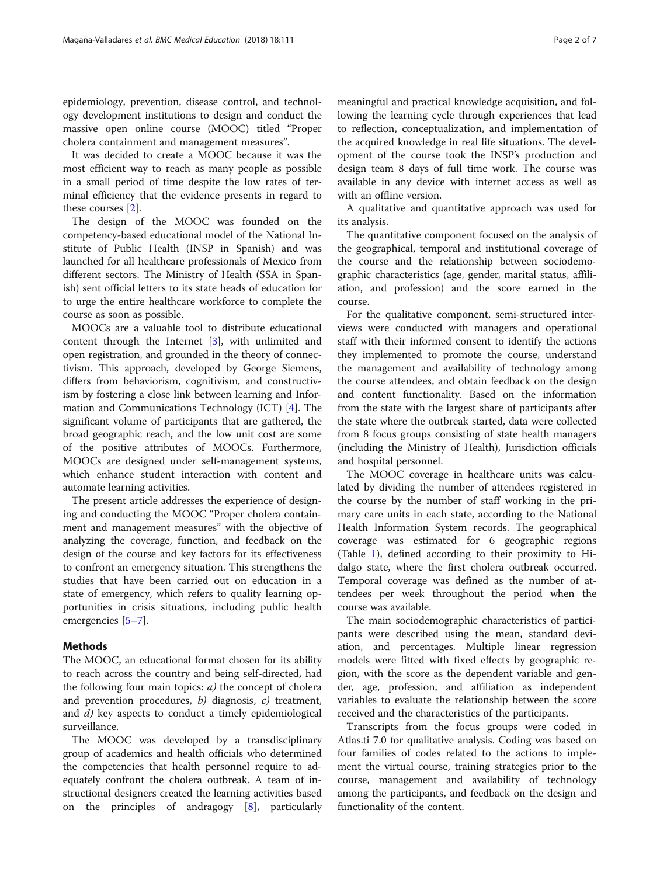epidemiology, prevention, disease control, and technology development institutions to design and conduct the massive open online course (MOOC) titled "Proper cholera containment and management measures".

It was decided to create a MOOC because it was the most efficient way to reach as many people as possible in a small period of time despite the low rates of terminal efficiency that the evidence presents in regard to these courses [\[2](#page-6-0)].

The design of the MOOC was founded on the competency-based educational model of the National Institute of Public Health (INSP in Spanish) and was launched for all healthcare professionals of Mexico from different sectors. The Ministry of Health (SSA in Spanish) sent official letters to its state heads of education for to urge the entire healthcare workforce to complete the course as soon as possible.

MOOCs are a valuable tool to distribute educational content through the Internet [\[3](#page-6-0)], with unlimited and open registration, and grounded in the theory of connectivism. This approach, developed by George Siemens, differs from behaviorism, cognitivism, and constructivism by fostering a close link between learning and Information and Communications Technology (ICT) [[4\]](#page-6-0). The significant volume of participants that are gathered, the broad geographic reach, and the low unit cost are some of the positive attributes of MOOCs. Furthermore, MOOCs are designed under self-management systems, which enhance student interaction with content and automate learning activities.

The present article addresses the experience of designing and conducting the MOOC "Proper cholera containment and management measures" with the objective of analyzing the coverage, function, and feedback on the design of the course and key factors for its effectiveness to confront an emergency situation. This strengthens the studies that have been carried out on education in a state of emergency, which refers to quality learning opportunities in crisis situations, including public health emergencies [\[5](#page-6-0)–[7\]](#page-6-0).

## Methods

The MOOC, an educational format chosen for its ability to reach across the country and being self-directed, had the following four main topics:  $a$ ) the concept of cholera and prevention procedures,  $b$ ) diagnosis,  $c$ ) treatment, and d) key aspects to conduct a timely epidemiological surveillance.

The MOOC was developed by a transdisciplinary group of academics and health officials who determined the competencies that health personnel require to adequately confront the cholera outbreak. A team of instructional designers created the learning activities based on the principles of andragogy [[8\]](#page-6-0), particularly

meaningful and practical knowledge acquisition, and following the learning cycle through experiences that lead to reflection, conceptualization, and implementation of the acquired knowledge in real life situations. The development of the course took the INSP's production and design team 8 days of full time work. The course was available in any device with internet access as well as with an offline version.

A qualitative and quantitative approach was used for its analysis.

The quantitative component focused on the analysis of the geographical, temporal and institutional coverage of the course and the relationship between sociodemographic characteristics (age, gender, marital status, affiliation, and profession) and the score earned in the course.

For the qualitative component, semi-structured interviews were conducted with managers and operational staff with their informed consent to identify the actions they implemented to promote the course, understand the management and availability of technology among the course attendees, and obtain feedback on the design and content functionality. Based on the information from the state with the largest share of participants after the state where the outbreak started, data were collected from 8 focus groups consisting of state health managers (including the Ministry of Health), Jurisdiction officials and hospital personnel.

The MOOC coverage in healthcare units was calculated by dividing the number of attendees registered in the course by the number of staff working in the primary care units in each state, according to the National Health Information System records. The geographical coverage was estimated for 6 geographic regions (Table [1\)](#page-2-0), defined according to their proximity to Hidalgo state, where the first cholera outbreak occurred. Temporal coverage was defined as the number of attendees per week throughout the period when the course was available.

The main sociodemographic characteristics of participants were described using the mean, standard deviation, and percentages. Multiple linear regression models were fitted with fixed effects by geographic region, with the score as the dependent variable and gender, age, profession, and affiliation as independent variables to evaluate the relationship between the score received and the characteristics of the participants.

Transcripts from the focus groups were coded in Atlas.ti 7.0 for qualitative analysis. Coding was based on four families of codes related to the actions to implement the virtual course, training strategies prior to the course, management and availability of technology among the participants, and feedback on the design and functionality of the content.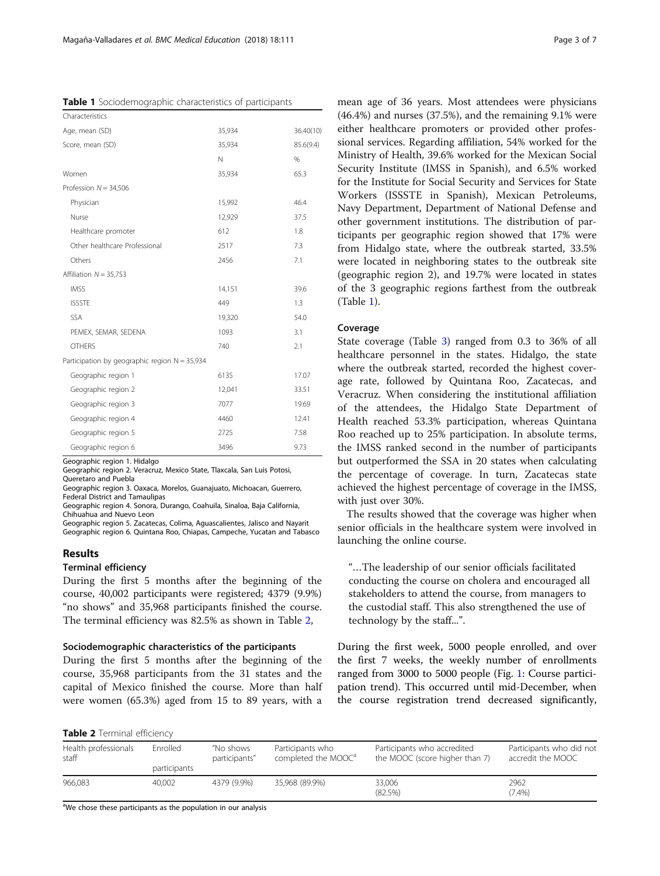<span id="page-2-0"></span>

| Characteristics                               |        |           |
|-----------------------------------------------|--------|-----------|
| Age, mean (SD)                                | 35,934 | 36.40(10) |
| Score, mean (SD)                              | 35,934 | 85.6(9.4) |
|                                               | N      | $\%$      |
| Women                                         | 35,934 | 65.3      |
| Profession $N = 34,506$                       |        |           |
| Physician                                     | 15,992 | 46.4      |
| Nurse                                         | 12,929 | 37.5      |
| Healthcare promoter                           | 612    | 1.8       |
| Other healthcare Professional                 | 2517   | 7.3       |
| Others                                        | 2456   | 7.1       |
| Affiliation $N = 35,753$                      |        |           |
| <b>IMSS</b>                                   | 14,151 | 39.6      |
| <b>ISSSTE</b>                                 | 449    | 1.3       |
| <b>SSA</b>                                    | 19,320 | 54.0      |
| PEMEX, SEMAR, SEDENA                          | 1093   | 3.1       |
| <b>OTHERS</b>                                 | 740    | 2.1       |
| Participation by geographic region N = 35,934 |        |           |
| Geographic region 1                           | 6135   | 17.07     |
| Geographic region 2                           | 12.041 | 33.51     |
| Geographic region 3                           | 7077   | 19.69     |
| Geographic region 4                           | 4460   | 12.41     |
| Geographic region 5                           | 2725   | 7.58      |
| Geographic region 6                           | 3496   | 9.73      |

Geographic region 1. Hidalgo

Geographic region 2. Veracruz, Mexico State, Tlaxcala, San Luis Potosi, Queretaro and Puebla

Geographic region 3. Oaxaca, Morelos, Guanajuato, Michoacan, Guerrero, Federal District and Tamaulipas

Geographic region 4. Sonora, Durango, Coahuila, Sinaloa, Baja California, Chihuahua and Nuevo Leon

Geographic region 5. Zacatecas, Colima, Aguascalientes, Jalisco and Nayarit Geographic region 6. Quintana Roo, Chiapas, Campeche, Yucatan and Tabasco

## Results

## Terminal efficiency

During the first 5 months after the beginning of the course, 40,002 participants were registered; 4379 (9.9%) "no shows" and 35,968 participants finished the course. The terminal efficiency was 82.5% as shown in Table 2,

### Sociodemographic characteristics of the participants

During the first 5 months after the beginning of the course, 35,968 participants from the 31 states and the capital of Mexico finished the course. More than half were women (65.3%) aged from 15 to 89 years, with a

mean age of 36 years. Most attendees were physicians (46.4%) and nurses (37.5%), and the remaining 9.1% were either healthcare promoters or provided other professional services. Regarding affiliation, 54% worked for the Ministry of Health, 39.6% worked for the Mexican Social Security Institute (IMSS in Spanish), and 6.5% worked for the Institute for Social Security and Services for State Workers (ISSSTE in Spanish), Mexican Petroleums, Navy Department, Department of National Defense and other government institutions. The distribution of participants per geographic region showed that 17% were from Hidalgo state, where the outbreak started, 33.5% were located in neighboring states to the outbreak site (geographic region 2), and 19.7% were located in states of the 3 geographic regions farthest from the outbreak (Table 1).

## Coverage

State coverage (Table [3\)](#page-3-0) ranged from 0.3 to 36% of all healthcare personnel in the states. Hidalgo, the state where the outbreak started, recorded the highest coverage rate, followed by Quintana Roo, Zacatecas, and Veracruz. When considering the institutional affiliation of the attendees, the Hidalgo State Department of Health reached 53.3% participation, whereas Quintana Roo reached up to 25% participation. In absolute terms, the IMSS ranked second in the number of participants but outperformed the SSA in 20 states when calculating the percentage of coverage. In turn, Zacatecas state achieved the highest percentage of coverage in the IMSS, with just over 30%.

The results showed that the coverage was higher when senior officials in the healthcare system were involved in launching the online course.

"…The leadership of our senior officials facilitated conducting the course on cholera and encouraged all stakeholders to attend the course, from managers to the custodial staff. This also strengthened the use of technology by the staff...".

During the first week, 5000 people enrolled, and over the first 7 weeks, the weekly number of enrollments ranged from 3000 to 5000 people (Fig. [1:](#page-4-0) Course participation trend). This occurred until mid-December, when the course registration trend decreased significantly,

Table 2 Terminal efficiency

| Health professionals<br>staff | Enrolled     | "No shows<br>participants" | Participants who<br>completed the MOOC <sup>a</sup> | Participants who accredited<br>the MOOC (score higher than 7) | Participants who did not<br>accredit the MOOC |
|-------------------------------|--------------|----------------------------|-----------------------------------------------------|---------------------------------------------------------------|-----------------------------------------------|
|                               | participants |                            |                                                     |                                                               |                                               |
| 966.083                       | 40.002       | 4379 (9.9%)                | 35.968 (89.9%)                                      | 33,006<br>(82.5%)                                             | 2962<br>(7.4%)                                |

<sup>a</sup>We chose these participants as the population in our analysis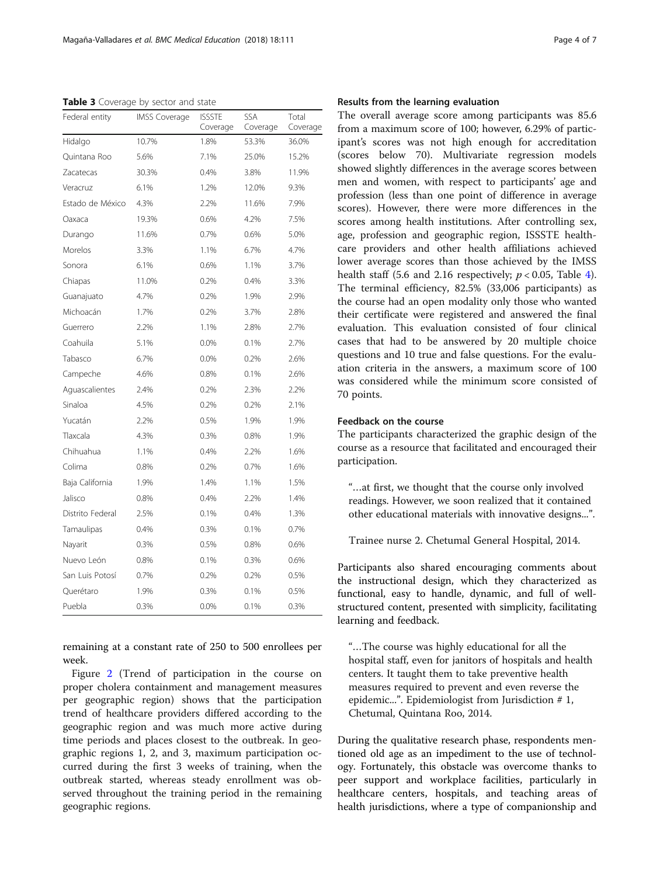<span id="page-3-0"></span>Table 3 Coverage by sector and state

| Federal entity   | <b>IMSS Coverage</b> | <b>ISSSTE</b><br>Coverage | SSA<br>Coverage | Total<br>Coverage |
|------------------|----------------------|---------------------------|-----------------|-------------------|
| Hidalgo          | 10.7%                | 1.8%                      | 53.3%           | 36.0%             |
| Quintana Roo     | 5.6%                 | 7.1%                      | 25.0%           | 15.2%             |
| Zacatecas        | 30.3%                | 0.4%                      | 3.8%            | 11.9%             |
| Veracruz         | 6.1%                 | 1.2%                      | 12.0%           | 9.3%              |
| Estado de México | 4.3%                 | 2.2%                      | 11.6%           | 7.9%              |
| Oaxaca           | 19.3%                | 0.6%                      | 4.2%            | 7.5%              |
| Durango          | 11.6%                | 0.7%                      | 0.6%            | 5.0%              |
| Morelos          | 3.3%                 | 1.1%                      | 6.7%            | 4.7%              |
| Sonora           | 6.1%                 | 0.6%                      | 1.1%            | 3.7%              |
| Chiapas          | 11.0%                | 0.2%                      | 0.4%            | 3.3%              |
| Guanajuato       | 4.7%                 | 0.2%                      | 1.9%            | 2.9%              |
| Michoacán        | 1.7%                 | 0.2%                      | 3.7%            | 2.8%              |
| Guerrero         | 2.2%                 | 1.1%                      | 2.8%            | 2.7%              |
| Coahuila         | 5.1%                 | 0.0%                      | 0.1%            | 2.7%              |
| Tabasco          | 6.7%                 | 0.0%                      | 0.2%            | 2.6%              |
| Campeche         | 4.6%                 | 0.8%                      | 0.1%            | 2.6%              |
| Aquascalientes   | 2.4%                 | 0.2%                      | 2.3%            | 2.2%              |
| Sinaloa          | 4.5%                 | 0.2%                      | 0.2%            | 2.1%              |
| Yucatán          | 2.2%                 | 0.5%                      | 1.9%            | 1.9%              |
| Tlaxcala         | 4.3%                 | 0.3%                      | 0.8%            | 1.9%              |
| Chihuahua        | 1.1%                 | 0.4%                      | 2.2%            | 1.6%              |
| Colima           | 0.8%                 | 0.2%                      | 0.7%            | 1.6%              |
| Baja California  | 1.9%                 | 1.4%                      | 1.1%            | 1.5%              |
| Jalisco          | 0.8%                 | 0.4%                      | 2.2%            | 1.4%              |
| Distrito Federal | 2.5%                 | 0.1%                      | 0.4%            | 1.3%              |
| Tamaulipas       | 0.4%                 | 0.3%                      | 0.1%            | 0.7%              |
| Nayarit          | 0.3%                 | 0.5%                      | 0.8%            | 0.6%              |
| Nuevo León       | 0.8%                 | 0.1%                      | 0.3%            | 0.6%              |
| San Luis Potosí  | 0.7%                 | 0.2%                      | 0.2%            | 0.5%              |
| Querétaro        | 1.9%                 | 0.3%                      | 0.1%            | 0.5%              |
| Puebla           | 0.3%                 | 0.0%                      | 0.1%            | 0.3%              |

remaining at a constant rate of 250 to 500 enrollees per week.

Figure [2](#page-4-0) (Trend of participation in the course on proper cholera containment and management measures per geographic region) shows that the participation trend of healthcare providers differed according to the geographic region and was much more active during time periods and places closest to the outbreak. In geographic regions 1, 2, and 3, maximum participation occurred during the first 3 weeks of training, when the outbreak started, whereas steady enrollment was observed throughout the training period in the remaining geographic regions.

## Results from the learning evaluation

The overall average score among participants was 85.6 from a maximum score of 100; however, 6.29% of participant's scores was not high enough for accreditation (scores below 70). Multivariate regression models showed slightly differences in the average scores between men and women, with respect to participants' age and profession (less than one point of difference in average scores). However, there were more differences in the scores among health institutions. After controlling sex, age, profession and geographic region, ISSSTE healthcare providers and other health affiliations achieved lower average scores than those achieved by the IMSS health staff (5.6 and 2.16 respectively;  $p < 0.05$ , Table [4](#page-5-0)). The terminal efficiency, 82.5% (33,006 participants) as the course had an open modality only those who wanted their certificate were registered and answered the final evaluation. This evaluation consisted of four clinical cases that had to be answered by 20 multiple choice questions and 10 true and false questions. For the evaluation criteria in the answers, a maximum score of 100 was considered while the minimum score consisted of 70 points.

## Feedback on the course

The participants characterized the graphic design of the course as a resource that facilitated and encouraged their participation.

"…at first, we thought that the course only involved readings. However, we soon realized that it contained other educational materials with innovative designs...".

Trainee nurse 2. Chetumal General Hospital, 2014.

Participants also shared encouraging comments about the instructional design, which they characterized as functional, easy to handle, dynamic, and full of wellstructured content, presented with simplicity, facilitating learning and feedback.

"…The course was highly educational for all the hospital staff, even for janitors of hospitals and health centers. It taught them to take preventive health measures required to prevent and even reverse the epidemic...". Epidemiologist from Jurisdiction # 1, Chetumal, Quintana Roo, 2014.

During the qualitative research phase, respondents mentioned old age as an impediment to the use of technology. Fortunately, this obstacle was overcome thanks to peer support and workplace facilities, particularly in healthcare centers, hospitals, and teaching areas of health jurisdictions, where a type of companionship and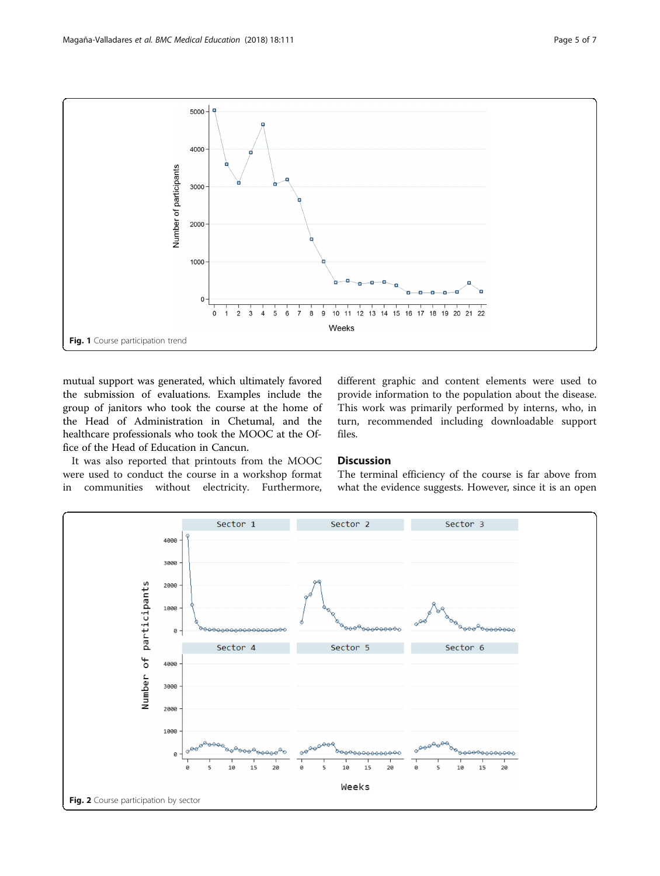<span id="page-4-0"></span>

mutual support was generated, which ultimately favored the submission of evaluations. Examples include the group of janitors who took the course at the home of the Head of Administration in Chetumal, and the healthcare professionals who took the MOOC at the Office of the Head of Education in Cancun.

It was also reported that printouts from the MOOC were used to conduct the course in a workshop format in communities without electricity. Furthermore, different graphic and content elements were used to provide information to the population about the disease. This work was primarily performed by interns, who, in turn, recommended including downloadable support files.

## **Discussion**

The terminal efficiency of the course is far above from what the evidence suggests. However, since it is an open

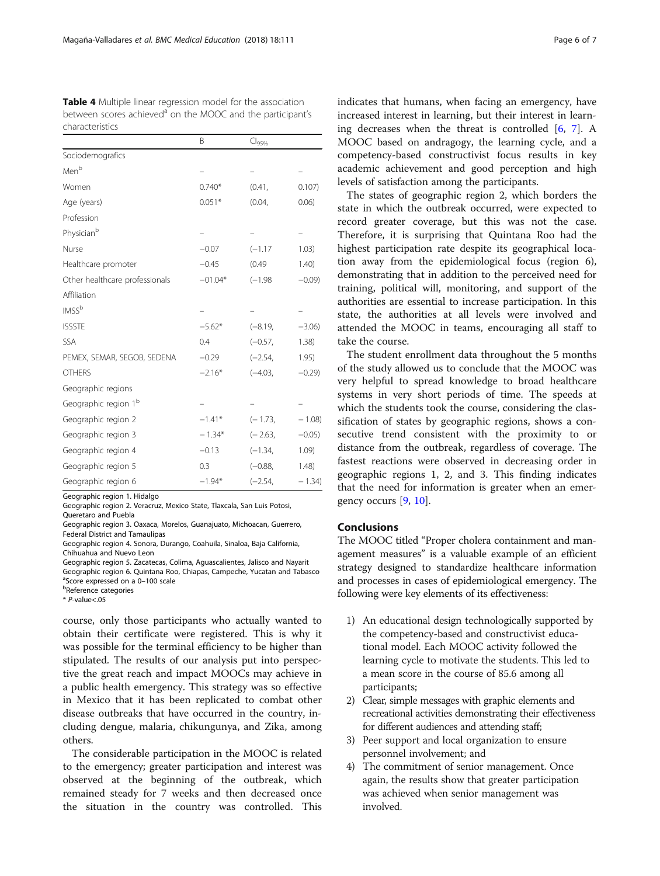<span id="page-5-0"></span>

| <b>Table 4</b> Multiple linear regression model for the association    |
|------------------------------------------------------------------------|
| between scores achieved <sup>a</sup> on the MOOC and the participant's |
| characteristics                                                        |

|                                  | Β         | Cl <sub>95%</sub> |           |
|----------------------------------|-----------|-------------------|-----------|
| Sociodemografics                 |           |                   |           |
| Men <sup>b</sup>                 |           |                   |           |
| Women                            | $0.740*$  | (0.41,            | 0.107)    |
| Age (years)                      | $0.051*$  | (0.04,            | 0.06)     |
| Profession                       |           |                   |           |
| Physician <sup>b</sup>           |           |                   |           |
| Nurse                            | $-0.07$   | $(-1.17)$         | 1.03)     |
| Healthcare promoter              | $-0.45$   | (0.49)            | 1.40)     |
| Other healthcare professionals   | $-01.04*$ | $(-1.98)$         | $-0.09$ ) |
| Affiliation                      |           |                   |           |
| IMS <sup>b</sup>                 |           |                   |           |
| <b>ISSSTE</b>                    | $-5.62*$  | $(-8.19,$         | $-3.06$ ) |
| SSA                              | 0.4       | $(-0.57,$         | 1.38)     |
| PEMEX, SEMAR, SEGOB, SEDENA      | $-0.29$   | $(-2.54,$         | 1.95)     |
| <b>OTHERS</b>                    | $-2.16*$  | $(-4.03,$         | $-0.29$   |
| Geographic regions               |           |                   |           |
| Geographic region 1 <sup>b</sup> |           |                   |           |
| Geographic region 2              | $-1.41*$  | $(-1.73,$         | $-1.08$   |
| Geographic region 3              | $-1.34*$  | $(-2.63,$         | $-0.05$ ) |
| Geographic region 4              | $-0.13$   | $(-1.34,$         | 1.09      |
| Geographic region 5              | 0.3       | $(-0.88,$         | 1.48)     |
| Geographic region 6              | $-1.94*$  | $(-2.54,$         | $-1.34$   |

Geographic region 1. Hidalgo

Geographic region 2. Veracruz, Mexico State, Tlaxcala, San Luis Potosi,

Queretaro and Puebla

Geographic region 3. Oaxaca, Morelos, Guanajuato, Michoacan, Guerrero, Federal District and Tamaulipas

Geographic region 4. Sonora, Durango, Coahuila, Sinaloa, Baja California, Chihuahua and Nuevo Leon

Geographic region 5. Zacatecas, Colima, Aguascalientes, Jalisco and Nayarit Geographic region 6. Quintana Roo, Chiapas, Campeche, Yucatan and Tabasco <sup>a</sup>Score expressed on a 0–100 scale *<u><b>PReference</u>* categories

 $*$  P-value<.05

course, only those participants who actually wanted to obtain their certificate were registered. This is why it was possible for the terminal efficiency to be higher than stipulated. The results of our analysis put into perspective the great reach and impact MOOCs may achieve in a public health emergency. This strategy was so effective in Mexico that it has been replicated to combat other disease outbreaks that have occurred in the country, including dengue, malaria, chikungunya, and Zika, among others.

The considerable participation in the MOOC is related to the emergency; greater participation and interest was observed at the beginning of the outbreak, which remained steady for 7 weeks and then decreased once the situation in the country was controlled. This

indicates that humans, when facing an emergency, have increased interest in learning, but their interest in learning decreases when the threat is controlled [[6,](#page-6-0) [7\]](#page-6-0). A MOOC based on andragogy, the learning cycle, and a competency-based constructivist focus results in key academic achievement and good perception and high levels of satisfaction among the participants.

The states of geographic region 2, which borders the state in which the outbreak occurred, were expected to record greater coverage, but this was not the case. Therefore, it is surprising that Quintana Roo had the highest participation rate despite its geographical location away from the epidemiological focus (region 6), demonstrating that in addition to the perceived need for training, political will, monitoring, and support of the authorities are essential to increase participation. In this state, the authorities at all levels were involved and attended the MOOC in teams, encouraging all staff to take the course.

The student enrollment data throughout the 5 months of the study allowed us to conclude that the MOOC was very helpful to spread knowledge to broad healthcare systems in very short periods of time. The speeds at which the students took the course, considering the classification of states by geographic regions, shows a consecutive trend consistent with the proximity to or distance from the outbreak, regardless of coverage. The fastest reactions were observed in decreasing order in geographic regions 1, 2, and 3. This finding indicates that the need for information is greater when an emergency occurs [[9,](#page-6-0) [10\]](#page-6-0).

## Conclusions

The MOOC titled "Proper cholera containment and management measures" is a valuable example of an efficient strategy designed to standardize healthcare information and processes in cases of epidemiological emergency. The following were key elements of its effectiveness:

- 1) An educational design technologically supported by the competency-based and constructivist educational model. Each MOOC activity followed the learning cycle to motivate the students. This led to a mean score in the course of 85.6 among all participants;
- 2) Clear, simple messages with graphic elements and recreational activities demonstrating their effectiveness for different audiences and attending staff;
- 3) Peer support and local organization to ensure personnel involvement; and
- 4) The commitment of senior management. Once again, the results show that greater participation was achieved when senior management was involved.